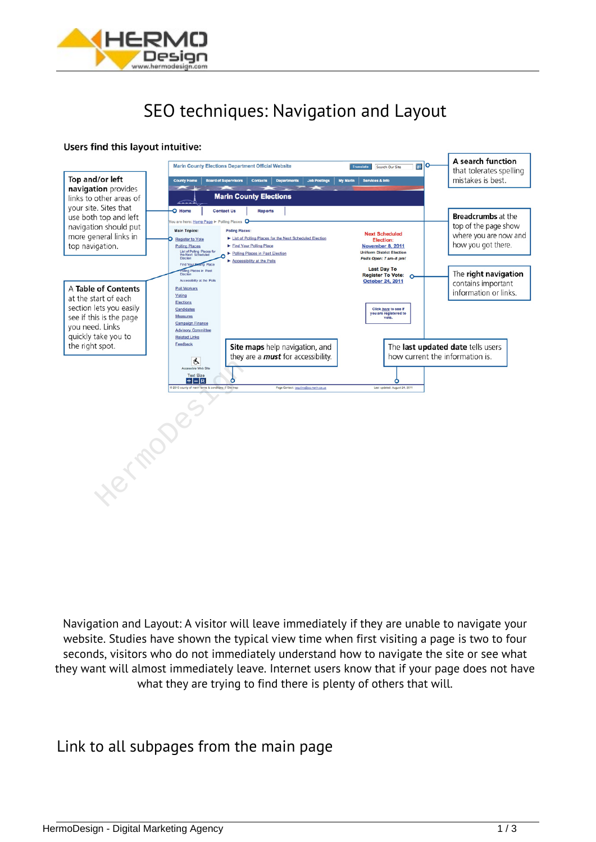

## *SEO techniques: Navigation and Layout*

## Users find this layout intuitive:



*Navigation and Layout: A visitor will leave immediately if they are unable to navigate your website. Studies have shown the typical view time when first visiting a page is two to four seconds, visitors who do not immediately understand how to navigate the site or see what they want will almost immediately leave. Internet users know that if your page does not have what they are trying to find there is plenty of others that will.*

*Link to all subpages from the main page*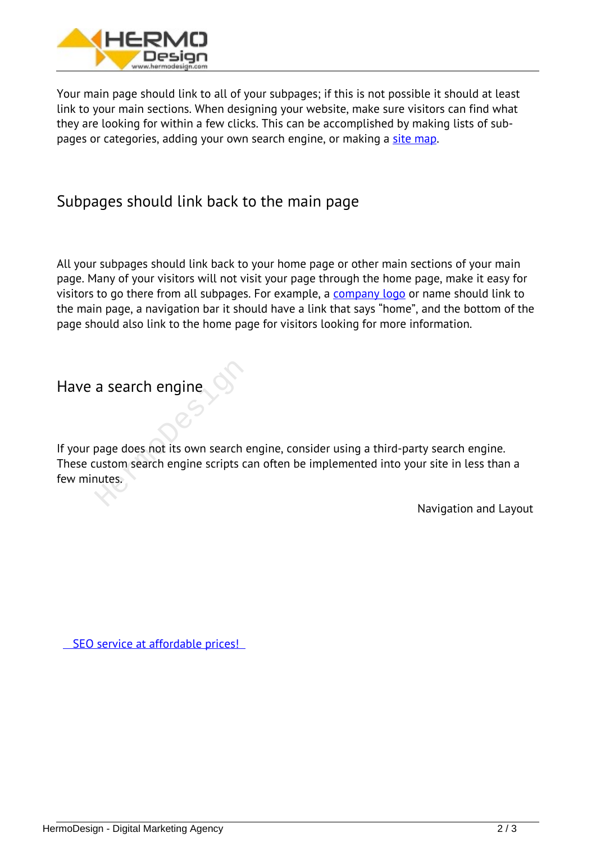

*Your main page should link to all of your subpages; if this is not possible it should at least link to your main sections. When designing your website, make sure visitors can find what they are looking for within a few clicks. This can be accomplished by making lists of subpages or categories, adding your own search engine, or making a [site map](https://en.wikipedia.org/wiki/Site_map).*

## *Subpages should link back to the main page*

*All your subpages should link back to your home page or other main sections of your main page. Many of your visitors will not visit your page through the home page, make it easy for visitors to go there from all subpages. For example, a [company logo](https://hermodesign.com/graphic-design/) or name should link to the main page, a navigation bar it should have a link that says "home", and the bottom of the page should also link to the home page for visitors looking for more information.*

## *Have a search engine*

*If your page does not its own search engine, consider using a third-party search engine. These custom search engine scripts can often be implemented into your site in less than a few minutes.* a search engine<br>
page does not its own search engine<br>
ustom search engine scripts cannutes.

*Navigation and Layout*

 *[SEO service at affordable prices!](https://hermodesign.com/search-engine-ooptimization-seo/)*